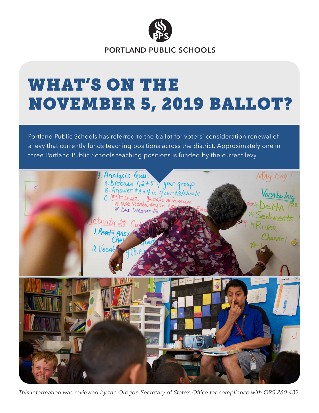

**PORTLAND PUBLIC SCHOOLS**

# WHAT'S ON THE NOVEMBER 5, 2019 BALLOT?

Portland Public Schools has referred to the ballot for voters' consideration renewal of a levy that currently funds teaching positions across the district. Approximately one in three Portland Public Schools teaching positions is funded by the current levy.



*This information was reviewed by the Oregon Secretary of State's Office for compliance with ORS 260.432.*